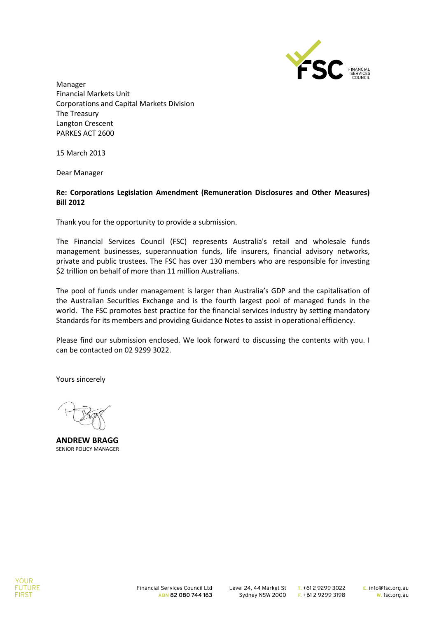

Manager Financial Markets Unit Corporations and Capital Markets Division The Treasury Langton Crescent PARKES ACT 2600

15 March 2013

Dear Manager

#### **Re: Corporations Legislation Amendment (Remuneration Disclosures and Other Measures) Bill 2012**

Thank you for the opportunity to provide a submission.

The Financial Services Council (FSC) represents Australia's retail and wholesale funds management businesses, superannuation funds, life insurers, financial advisory networks, private and public trustees. The FSC has over 130 members who are responsible for investing \$2 trillion on behalf of more than 11 million Australians.

The pool of funds under management is larger than Australia's GDP and the capitalisation of the Australian Securities Exchange and is the fourth largest pool of managed funds in the world. The FSC promotes best practice for the financial services industry by setting mandatory Standards for its members and providing Guidance Notes to assist in operational efficiency.

Please find our submission enclosed. We look forward to discussing the contents with you. I can be contacted on 02 9299 3022.

Yours sincerely

**ANDREW BRAGG** SENIOR POLICY MANAGER

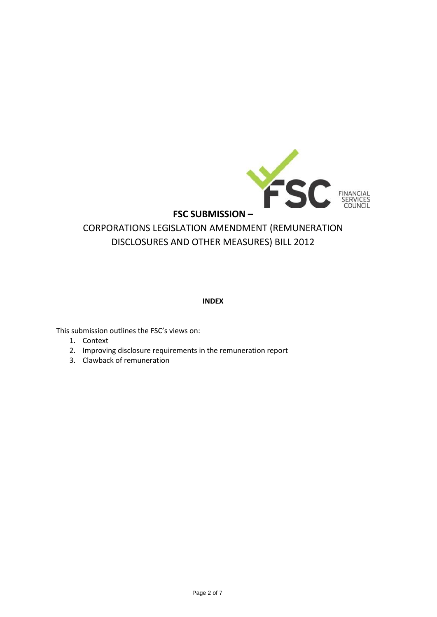

# **INDEX**

This submission outlines the FSC's views on:

- 1. Context
- 2. Improving disclosure requirements in the remuneration report
- 3. Clawback of remuneration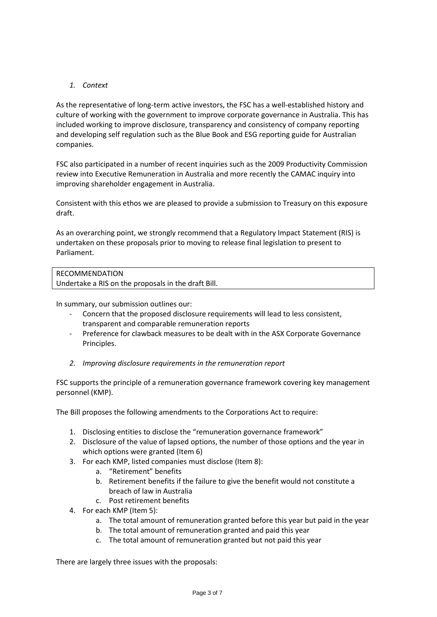## *1. Context*

As the representative of long-term active investors, the FSC has a well-established history and culture of working with the government to improve corporate governance in Australia. This has included working to improve disclosure, transparency and consistency of company reporting and developing self regulation such as the Blue Book and ESG reporting guide for Australian companies.

FSC also participated in a number of recent inquiries such as the 2009 Productivity Commission review into Executive Remuneration in Australia and more recently the CAMAC inquiry into improving shareholder engagement in Australia.

Consistent with this ethos we are pleased to provide a submission to Treasury on this exposure draft.

As an overarching point, we strongly recommend that a Regulatory Impact Statement (RIS) is undertaken on these proposals prior to moving to release final legislation to present to Parliament.

#### RECOMMENDATION

Undertake a RIS on the proposals in the draft Bill.

In summary, our submission outlines our:

- Concern that the proposed disclosure requirements will lead to less consistent, transparent and comparable remuneration reports
- Preference for clawback measures to be dealt with in the ASX Corporate Governance Principles.
- *2. Improving disclosure requirements in the remuneration report*

FSC supports the principle of a remuneration governance framework covering key management personnel (KMP).

The Bill proposes the following amendments to the Corporations Act to require:

- 1. Disclosing entities to disclose the "remuneration governance framework"
- 2. Disclosure of the value of lapsed options, the number of those options and the year in which options were granted (Item 6)
- 3. For each KMP, listed companies must disclose (Item 8):
	- a. "Retirement" benefits
	- b. Retirement benefits if the failure to give the benefit would not constitute a breach of law in Australia
	- c. Post retirement benefits
- 4. For each KMP (Item 5):
	- a. The total amount of remuneration granted before this year but paid in the year
	- b. The total amount of remuneration granted and paid this year
	- c. The total amount of remuneration granted but not paid this year

There are largely three issues with the proposals: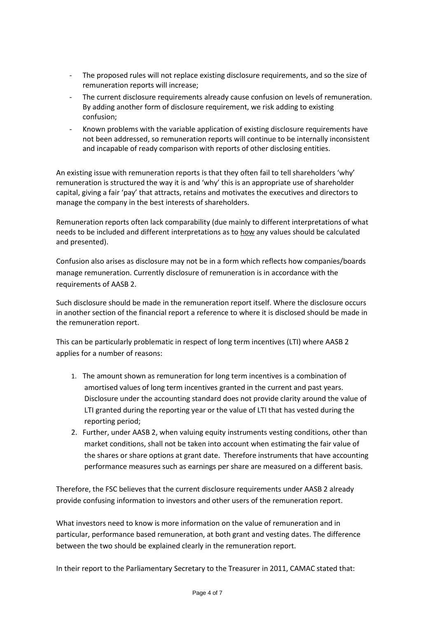- The proposed rules will not replace existing disclosure requirements, and so the size of remuneration reports will increase;
- The current disclosure requirements already cause confusion on levels of remuneration. By adding another form of disclosure requirement, we risk adding to existing confusion;
- Known problems with the variable application of existing disclosure requirements have not been addressed, so remuneration reports will continue to be internally inconsistent and incapable of ready comparison with reports of other disclosing entities.

An existing issue with remuneration reports is that they often fail to tell shareholders 'why' remuneration is structured the way it is and 'why' this is an appropriate use of shareholder capital, giving a fair 'pay' that attracts, retains and motivates the executives and directors to manage the company in the best interests of shareholders.

Remuneration reports often lack comparability (due mainly to different interpretations of what needs to be included and different interpretations as to how any values should be calculated and presented).

Confusion also arises as disclosure may not be in a form which reflects how companies/boards manage remuneration. Currently disclosure of remuneration is in accordance with the requirements of AASB 2.

Such disclosure should be made in the remuneration report itself. Where the disclosure occurs in another section of the financial report a reference to where it is disclosed should be made in the remuneration report.

This can be particularly problematic in respect of long term incentives (LTI) where AASB 2 applies for a number of reasons:

- 1. The amount shown as remuneration for long term incentives is a combination of amortised values of long term incentives granted in the current and past years. Disclosure under the accounting standard does not provide clarity around the value of LTI granted during the reporting year or the value of LTI that has vested during the reporting period;
- 2. Further, under AASB 2, when valuing equity instruments vesting conditions, other than market conditions, shall not be taken into account when estimating the fair value of the shares or share options at grant date. Therefore instruments that have accounting performance measures such as earnings per share are measured on a different basis.

Therefore, the FSC believes that the current disclosure requirements under AASB 2 already provide confusing information to investors and other users of the remuneration report.

What investors need to know is more information on the value of remuneration and in particular, performance based remuneration, at both grant and vesting dates. The difference between the two should be explained clearly in the remuneration report.

In their report to the Parliamentary Secretary to the Treasurer in 2011, CAMAC stated that: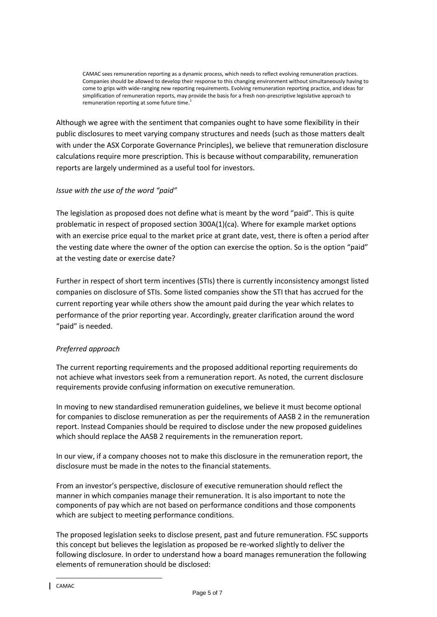CAMAC sees remuneration reporting as a dynamic process, which needs to reflect evolving remuneration practices. Companies should be allowed to develop their response to this changing environment without simultaneously having to come to grips with wide-ranging new reporting requirements. Evolving remuneration reporting practice, and ideas for simplification of remuneration reports, may provide the basis for a fresh non-prescriptive legislative approach to remuneration reporting at some future time.

Although we agree with the sentiment that companies ought to have some flexibility in their public disclosures to meet varying company structures and needs (such as those matters dealt with under the ASX Corporate Governance Principles), we believe that remuneration disclosure calculations require more prescription. This is because without comparability, remuneration reports are largely undermined as a useful tool for investors.

### *Issue with the use of the word "paid"*

The legislation as proposed does not define what is meant by the word "paid". This is quite problematic in respect of proposed section 300A(1)(ca). Where for example market options with an exercise price equal to the market price at grant date, vest, there is often a period after the vesting date where the owner of the option can exercise the option. So is the option "paid" at the vesting date or exercise date?

Further in respect of short term incentives (STIs) there is currently inconsistency amongst listed companies on disclosure of STIs. Some listed companies show the STI that has accrued for the current reporting year while others show the amount paid during the year which relates to performance of the prior reporting year. Accordingly, greater clarification around the word "paid" is needed.

### *Preferred approach*

The current reporting requirements and the proposed additional reporting requirements do not achieve what investors seek from a remuneration report. As noted, the current disclosure requirements provide confusing information on executive remuneration.

In moving to new standardised remuneration guidelines, we believe it must become optional for companies to disclose remuneration as per the requirements of AASB 2 in the remuneration report. Instead Companies should be required to disclose under the new proposed guidelines which should replace the AASB 2 requirements in the remuneration report.

In our view, if a company chooses not to make this disclosure in the remuneration report, the disclosure must be made in the notes to the financial statements.

From an investor's perspective, disclosure of executive remuneration should reflect the manner in which companies manage their remuneration. It is also important to note the components of pay which are not based on performance conditions and those components which are subject to meeting performance conditions.

The proposed legislation seeks to disclose present, past and future remuneration. FSC supports this concept but believes the legislation as proposed be re-worked slightly to deliver the following disclosure. In order to understand how a board manages remuneration the following elements of remuneration should be disclosed:

 $\overline{a}$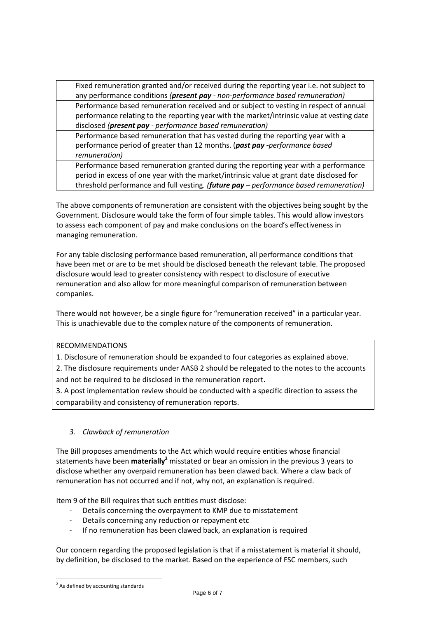Fixed remuneration granted and/or received during the reporting year i.e. not subject to any performance conditions *(present pay - non-performance based remuneration)* Performance based remuneration received and or subject to vesting in respect of annual performance relating to the reporting year with the market/intrinsic value at vesting date disclosed *(present pay - performance based remuneration)*

Performance based remuneration that has vested during the reporting year with a performance period of greater than 12 months. (*past pay -performance based remuneration)*

Performance based remuneration granted during the reporting year with a performance period in excess of one year with the market/intrinsic value at grant date disclosed for threshold performance and full vesting. *(future pay – performance based remuneration)*

The above components of remuneration are consistent with the objectives being sought by the Government. Disclosure would take the form of four simple tables. This would allow investors to assess each component of pay and make conclusions on the board's effectiveness in managing remuneration.

For any table disclosing performance based remuneration, all performance conditions that have been met or are to be met should be disclosed beneath the relevant table. The proposed disclosure would lead to greater consistency with respect to disclosure of executive remuneration and also allow for more meaningful comparison of remuneration between companies.

There would not however, be a single figure for "remuneration received" in a particular year. This is unachievable due to the complex nature of the components of remuneration.

### RECOMMENDATIONS

1. Disclosure of remuneration should be expanded to four categories as explained above.

2. The disclosure requirements under AASB 2 should be relegated to the notes to the accounts and not be required to be disclosed in the remuneration report.

3. A post implementation review should be conducted with a specific direction to assess the comparability and consistency of remuneration reports.

### *3. Clawback of remuneration*

The Bill proposes amendments to the Act which would require entities whose financial statements have been **materially<sup>2</sup>** misstated or bear an omission in the previous 3 years to disclose whether any overpaid remuneration has been clawed back. Where a claw back of remuneration has not occurred and if not, why not, an explanation is required.

Item 9 of the Bill requires that such entities must disclose:

- Details concerning the overpayment to KMP due to misstatement
- Details concerning any reduction or repayment etc
- If no remuneration has been clawed back, an explanation is required

Our concern regarding the proposed legislation is that if a misstatement is material it should, by definition, be disclosed to the market. Based on the experience of FSC members, such

 $\overline{a}$ 

<sup>&</sup>lt;sup>2</sup> As defined by accounting standards